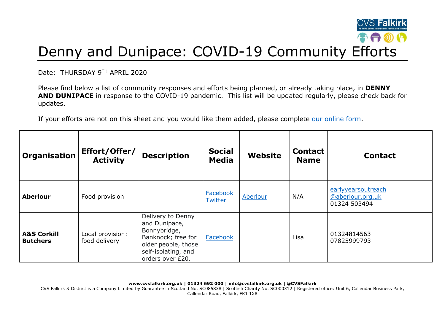

## Denny and Dunipace: COVID-19 Community Efforts

Date: THURSDAY 9TH APRIL 2020

Please find below a list of community responses and efforts being planned, or already taking place, in **DENNY AND DUNIPACE** in response to the COVID-19 pandemic. This list will be updated regularly, please check back for updates.

If your efforts are not on this sheet and you would like them added, please complete [our online form.](https://forms.office.com/Pages/ResponsePage.aspx?id=6VEZaLCW4EefTnjqs1GaupRwm5MIeS1HoQIx_4VQsBJUODFFNjQ4S0YzN0tIODdPOUJWTTJFNkg2QS4u)

| Organisation                              | Effort/Offer/<br><b>Activity</b>  | <b>Description</b>                                                                                                                         | <b>Social</b><br><b>Media</b> | Website  | <b>Contact</b><br><b>Name</b> | <b>Contact</b>                                         |
|-------------------------------------------|-----------------------------------|--------------------------------------------------------------------------------------------------------------------------------------------|-------------------------------|----------|-------------------------------|--------------------------------------------------------|
| <b>Aberlour</b>                           | Food provision                    |                                                                                                                                            | Facebook<br><b>Twitter</b>    | Aberlour | N/A                           | earlyyearsoutreach<br>@aberlour.org.uk<br>01324 503494 |
| <b>A&amp;S Corkill</b><br><b>Butchers</b> | Local provision:<br>food delivery | Delivery to Denny<br>and Dunipace,<br>Bonnybridge,<br>Banknock; free for<br>older people, those<br>self-isolating, and<br>orders over £20. | Facebook                      |          | Lisa                          | 01324814563<br>07825999793                             |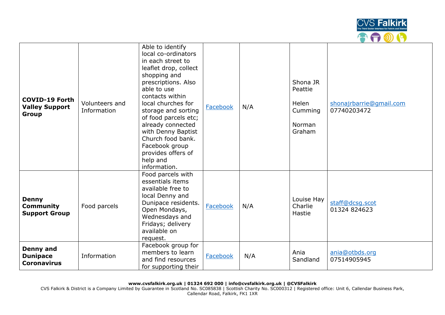

| <b>COVID-19 Forth</b><br><b>Valley Support</b><br>Group   | Volunteers and<br>Information | Able to identify<br>local co-ordinators<br>in each street to<br>leaflet drop, collect<br>shopping and<br>prescriptions. Also<br>able to use<br>contacts within<br>local churches for<br>storage and sorting<br>of food parcels etc;<br>already connected<br>with Denny Baptist<br>Church food bank.<br>Facebook group<br>provides offers of<br>help and<br>information. | Facebook | N/A | Shona JR<br>Peattie<br>Helen<br>Cumming<br>Norman<br>Graham | shonajrbarrie@qmail.com<br>07740203472 |
|-----------------------------------------------------------|-------------------------------|-------------------------------------------------------------------------------------------------------------------------------------------------------------------------------------------------------------------------------------------------------------------------------------------------------------------------------------------------------------------------|----------|-----|-------------------------------------------------------------|----------------------------------------|
| <b>Denny</b><br><b>Community</b><br><b>Support Group</b>  | Food parcels                  | Food parcels with<br>essentials items<br>available free to<br>local Denny and<br>Dunipace residents.<br>Open Mondays,<br>Wednesdays and<br>Fridays; delivery<br>available on<br>request.                                                                                                                                                                                | Facebook | N/A | Louise Hay<br>Charlie<br>Hastie                             | staff@dcsq.scot<br>01324 824623        |
| <b>Denny and</b><br><b>Dunipace</b><br><b>Coronavirus</b> | Information                   | Facebook group for<br>members to learn<br>and find resources<br>for supporting their                                                                                                                                                                                                                                                                                    | Facebook | N/A | Ania<br>Sandland                                            | ania@otbds.org<br>07514905945          |

**www.cvsfalkirk.org.uk | 01324 692 000 | info@cvsfalkirk.org.uk | @CVSFalkirk**

CVS Falkirk & District is a Company Limited by Guarantee in Scotland No. SC085838 | Scottish Charity No. SC000312 | Registered office: Unit 6, Callendar Business Park, Callendar Road, Falkirk, FK1 1XR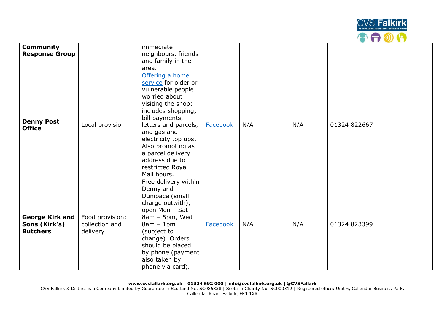

| <b>Community</b>                                           |                                               | immediate                                                                                                                                                                                                                                                                                                 |          |     |     |              |
|------------------------------------------------------------|-----------------------------------------------|-----------------------------------------------------------------------------------------------------------------------------------------------------------------------------------------------------------------------------------------------------------------------------------------------------------|----------|-----|-----|--------------|
| <b>Response Group</b>                                      |                                               | neighbours, friends                                                                                                                                                                                                                                                                                       |          |     |     |              |
|                                                            |                                               | and family in the                                                                                                                                                                                                                                                                                         |          |     |     |              |
|                                                            |                                               | area.                                                                                                                                                                                                                                                                                                     |          |     |     |              |
| <b>Denny Post</b><br><b>Office</b>                         | Local provision                               | Offering a home<br>service for older or<br>vulnerable people<br>worried about<br>visiting the shop;<br>includes shopping,<br>bill payments,<br>letters and parcels,<br>and gas and<br>electricity top ups.<br>Also promoting as<br>a parcel delivery<br>address due to<br>restricted Royal<br>Mail hours. | Facebook | N/A | N/A | 01324 822667 |
| <b>George Kirk and</b><br>Sons (Kirk's)<br><b>Butchers</b> | Food provision:<br>collection and<br>delivery | Free delivery within<br>Denny and<br>Dunipace (small<br>charge outwith);<br>open Mon - Sat<br>8am - 5pm, Wed<br>$8am - 1pm$<br>(subject to<br>change). Orders<br>should be placed<br>by phone (payment<br>also taken by<br>phone via card).                                                               | Facebook | N/A | N/A | 01324 823399 |

CVS Falkirk & District is a Company Limited by Guarantee in Scotland No. SC085838 | Scottish Charity No. SC000312 | Registered office: Unit 6, Callendar Business Park, Callendar Road, Falkirk, FK1 1XR